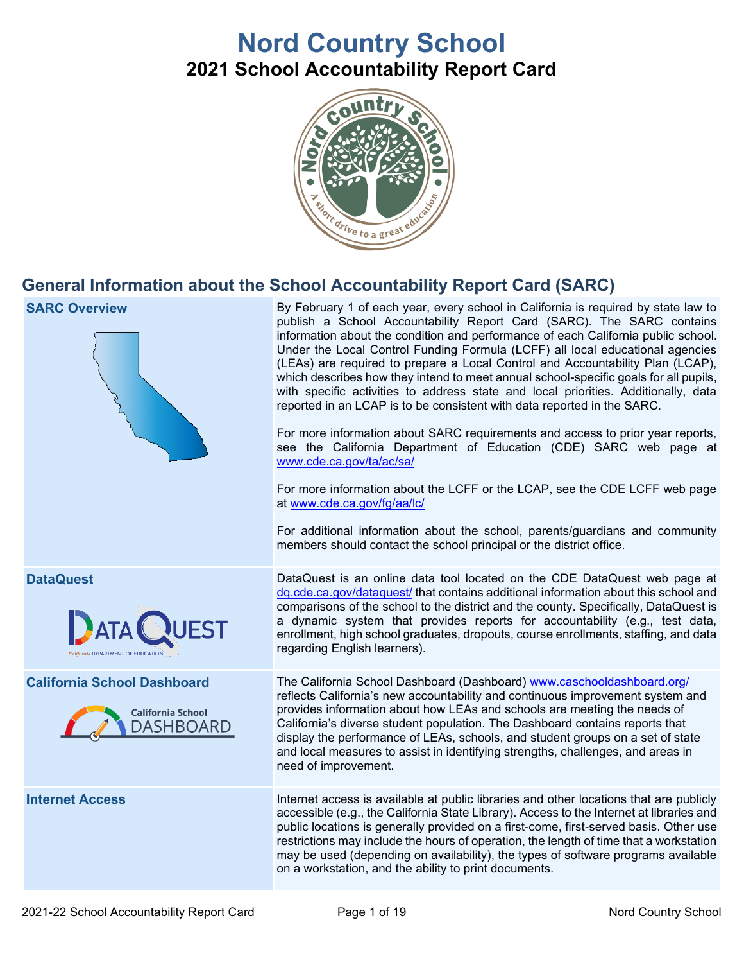# **Nord Country School 2021 School Accountability Report Card**



## **General Information about the School Accountability Report Card (SARC)**

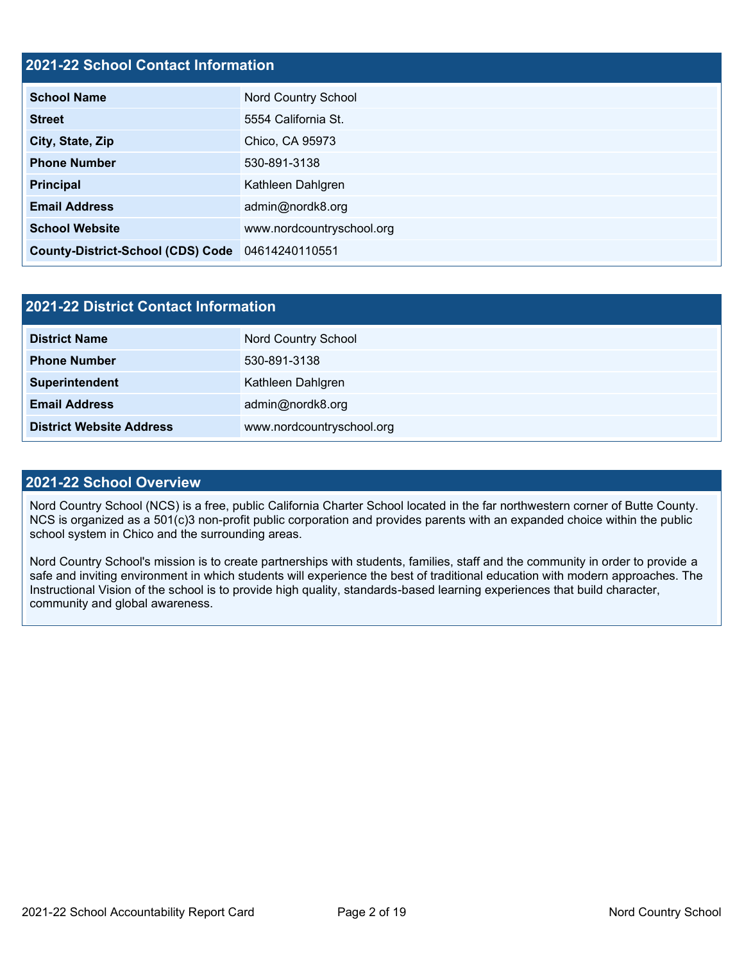### **2021-22 School Contact Information**

| <b>School Name</b>                               | Nord Country School       |  |  |  |  |
|--------------------------------------------------|---------------------------|--|--|--|--|
| <b>Street</b>                                    | 5554 California St.       |  |  |  |  |
| City, State, Zip                                 | Chico, CA 95973           |  |  |  |  |
| <b>Phone Number</b>                              | 530-891-3138              |  |  |  |  |
| <b>Principal</b>                                 | Kathleen Dahlgren         |  |  |  |  |
| <b>Email Address</b>                             | admin@nordk8.org          |  |  |  |  |
| <b>School Website</b>                            | www.nordcountryschool.org |  |  |  |  |
| County-District-School (CDS) Code 04614240110551 |                           |  |  |  |  |

| 2021-22 District Contact Information |                           |  |  |  |
|--------------------------------------|---------------------------|--|--|--|
| <b>District Name</b>                 | Nord Country School       |  |  |  |
| <b>Phone Number</b>                  | 530-891-3138              |  |  |  |
| Superintendent                       | Kathleen Dahlgren         |  |  |  |
| <b>Email Address</b>                 | admin@nordk8.org          |  |  |  |
| <b>District Website Address</b>      | www.nordcountryschool.org |  |  |  |

### **2021-22 School Overview**

Nord Country School (NCS) is a free, public California Charter School located in the far northwestern corner of Butte County. NCS is organized as a 501(c)3 non-profit public corporation and provides parents with an expanded choice within the public school system in Chico and the surrounding areas.

Nord Country School's mission is to create partnerships with students, families, staff and the community in order to provide a safe and inviting environment in which students will experience the best of traditional education with modern approaches. The Instructional Vision of the school is to provide high quality, standards-based learning experiences that build character, community and global awareness.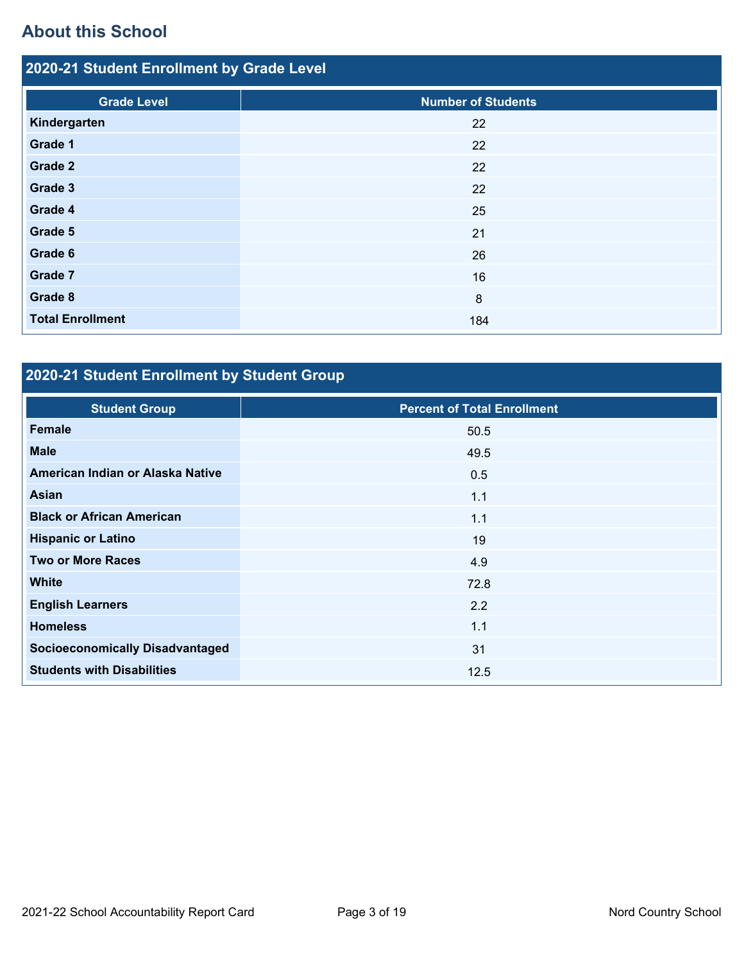# **About this School**

| 2020-21 Student Enrollment by Grade Level |                           |  |  |  |  |
|-------------------------------------------|---------------------------|--|--|--|--|
| <b>Grade Level</b>                        | <b>Number of Students</b> |  |  |  |  |
| Kindergarten                              | 22                        |  |  |  |  |
| Grade 1                                   | 22                        |  |  |  |  |
| Grade 2                                   | 22                        |  |  |  |  |
| Grade 3                                   | 22                        |  |  |  |  |
| Grade 4                                   | 25                        |  |  |  |  |
| Grade 5                                   | 21                        |  |  |  |  |
| Grade 6                                   | 26                        |  |  |  |  |
| Grade 7                                   | 16                        |  |  |  |  |
| Grade 8                                   | 8                         |  |  |  |  |
| <b>Total Enrollment</b>                   | 184                       |  |  |  |  |

# **2020-21 Student Enrollment by Student Group**

| <b>Student Group</b>                   | <b>Percent of Total Enrollment</b> |
|----------------------------------------|------------------------------------|
| Female                                 | 50.5                               |
| <b>Male</b>                            | 49.5                               |
| American Indian or Alaska Native       | 0.5                                |
| Asian                                  | 1.1                                |
| <b>Black or African American</b>       | 1.1                                |
| <b>Hispanic or Latino</b>              | 19                                 |
| <b>Two or More Races</b>               | 4.9                                |
| <b>White</b>                           | 72.8                               |
| <b>English Learners</b>                | 2.2                                |
| <b>Homeless</b>                        | 1.1                                |
| <b>Socioeconomically Disadvantaged</b> | 31                                 |
| <b>Students with Disabilities</b>      | 12.5                               |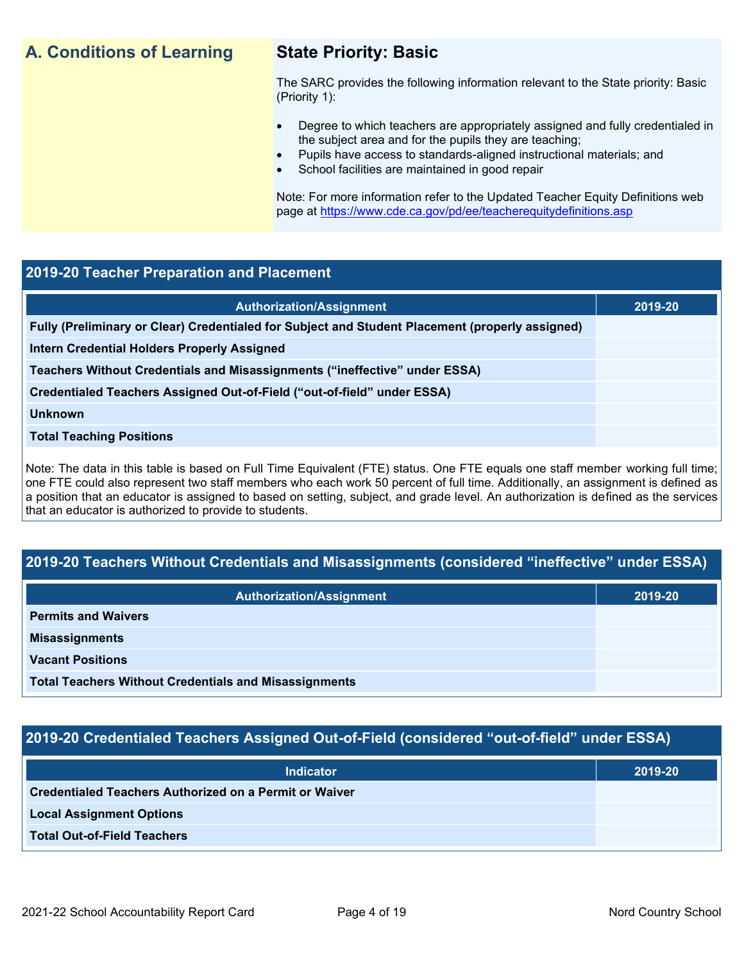## **A. Conditions of Learning State Priority: Basic**

The SARC provides the following information relevant to the State priority: Basic (Priority 1):

- Degree to which teachers are appropriately assigned and fully credentialed in the subject area and for the pupils they are teaching;
	- Pupils have access to standards-aligned instructional materials; and
- School facilities are maintained in good repair

Note: For more information refer to the Updated Teacher Equity Definitions web page at<https://www.cde.ca.gov/pd/ee/teacherequitydefinitions.asp>

### **2019-20 Teacher Preparation and Placement**

| <b>Authorization/Assignment</b>                                                                 | 2019-20 |
|-------------------------------------------------------------------------------------------------|---------|
| Fully (Preliminary or Clear) Credentialed for Subject and Student Placement (properly assigned) |         |
| Intern Credential Holders Properly Assigned                                                     |         |
| Teachers Without Credentials and Misassignments ("ineffective" under ESSA)                      |         |
| Credentialed Teachers Assigned Out-of-Field ("out-of-field" under ESSA)                         |         |
| <b>Unknown</b>                                                                                  |         |
| <b>Total Teaching Positions</b>                                                                 |         |
|                                                                                                 |         |

Note: The data in this table is based on Full Time Equivalent (FTE) status. One FTE equals one staff member working full time; one FTE could also represent two staff members who each work 50 percent of full time. Additionally, an assignment is defined as a position that an educator is assigned to based on setting, subject, and grade level. An authorization is defined as the services that an educator is authorized to provide to students.

### **2019-20 Teachers Without Credentials and Misassignments (considered "ineffective" under ESSA)**

| <b>Authorization/Assignment</b>                              | 2019-20 |
|--------------------------------------------------------------|---------|
| <b>Permits and Waivers</b>                                   |         |
| <b>Misassignments</b>                                        |         |
| <b>Vacant Positions</b>                                      |         |
| <b>Total Teachers Without Credentials and Misassignments</b> |         |

### **2019-20 Credentialed Teachers Assigned Out-of-Field (considered "out-of-field" under ESSA)**

| <b>Indicator</b>                                       | 2019-20 |
|--------------------------------------------------------|---------|
| Credentialed Teachers Authorized on a Permit or Waiver |         |
| <b>Local Assignment Options</b>                        |         |
| <b>Total Out-of-Field Teachers</b>                     |         |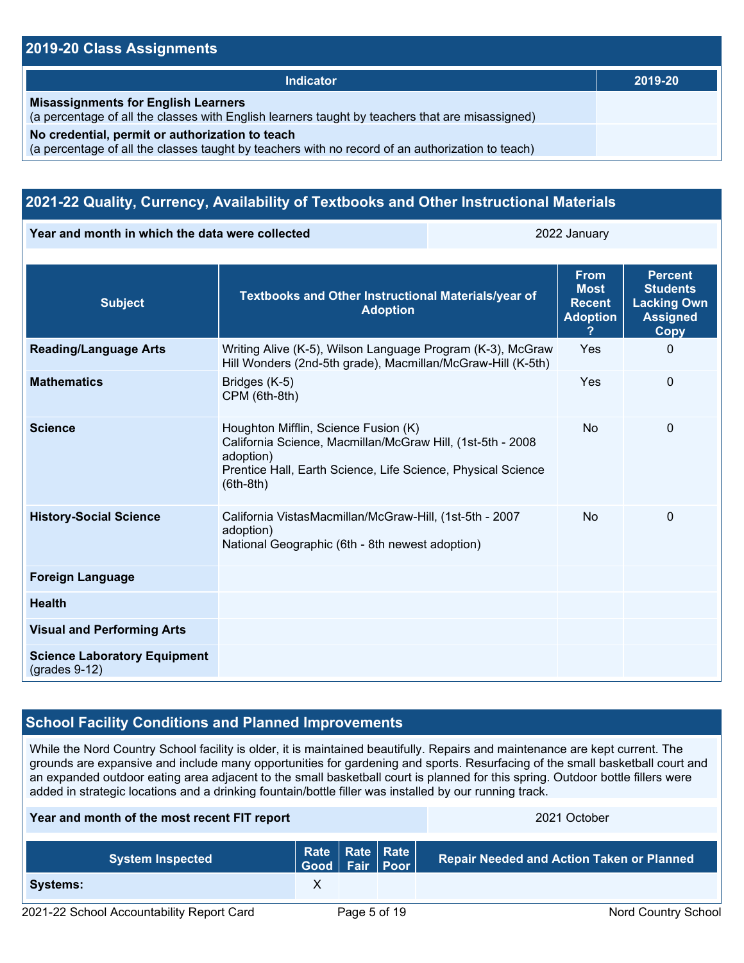### **2019-20 Class Assignments**

| Indicator                                                                                                                                           | 2019-20 |
|-----------------------------------------------------------------------------------------------------------------------------------------------------|---------|
| <b>Misassignments for English Learners</b><br>(a percentage of all the classes with English learners taught by teachers that are misassigned)       |         |
| No credential, permit or authorization to teach<br>(a percentage of all the classes taught by teachers with no record of an authorization to teach) |         |

### **2021-22 Quality, Currency, Availability of Textbooks and Other Instructional Materials**

**Year and month in which the data were collected 2022 January** 2022 January

| <b>Subject</b>                                         | Textbooks and Other Instructional Materials/year of<br><b>Adoption</b>                                                                                                                         | <b>From</b><br><b>Most</b><br><b>Recent</b><br><b>Adoption</b> | <b>Percent</b><br><b>Students</b><br><b>Lacking Own</b><br><b>Assigned</b><br><b>Copy</b> |
|--------------------------------------------------------|------------------------------------------------------------------------------------------------------------------------------------------------------------------------------------------------|----------------------------------------------------------------|-------------------------------------------------------------------------------------------|
| <b>Reading/Language Arts</b>                           | Writing Alive (K-5), Wilson Language Program (K-3), McGraw<br>Hill Wonders (2nd-5th grade), Macmillan/McGraw-Hill (K-5th)                                                                      | Yes                                                            | $\mathbf{0}$                                                                              |
| <b>Mathematics</b>                                     | Bridges (K-5)<br>CPM (6th-8th)                                                                                                                                                                 | Yes                                                            | 0                                                                                         |
| <b>Science</b>                                         | Houghton Mifflin, Science Fusion (K)<br>California Science, Macmillan/McGraw Hill, (1st-5th - 2008<br>adoption)<br>Prentice Hall, Earth Science, Life Science, Physical Science<br>$(6th-8th)$ | <b>No</b>                                                      | $\mathbf 0$                                                                               |
| <b>History-Social Science</b>                          | California VistasMacmillan/McGraw-Hill, (1st-5th - 2007<br>adoption)<br>National Geographic (6th - 8th newest adoption)                                                                        | <b>No</b>                                                      | $\mathbf{0}$                                                                              |
| <b>Foreign Language</b>                                |                                                                                                                                                                                                |                                                                |                                                                                           |
| <b>Health</b>                                          |                                                                                                                                                                                                |                                                                |                                                                                           |
| <b>Visual and Performing Arts</b>                      |                                                                                                                                                                                                |                                                                |                                                                                           |
| <b>Science Laboratory Equipment</b><br>$(grades 9-12)$ |                                                                                                                                                                                                |                                                                |                                                                                           |

### **School Facility Conditions and Planned Improvements**

While the Nord Country School facility is older, it is maintained beautifully. Repairs and maintenance are kept current. The grounds are expansive and include many opportunities for gardening and sports. Resurfacing of the small basketball court and an expanded outdoor eating area adjacent to the small basketball court is planned for this spring. Outdoor bottle fillers were added in strategic locations and a drinking fountain/bottle filler was installed by our running track.

### **Year and month of the most recent FIT report** 2021 October 2021 October

| <b>System Inspected</b>                   | Rate   Rate   Rate  <br>  Good   Fair   Poor |              | <b>Repair Needed and Action Taken or Planned</b> |
|-------------------------------------------|----------------------------------------------|--------------|--------------------------------------------------|
| <b>Systems:</b>                           |                                              |              |                                                  |
| 2021-22 School Accountability Report Card |                                              | Page 5 of 19 | <b>Nord Country School</b>                       |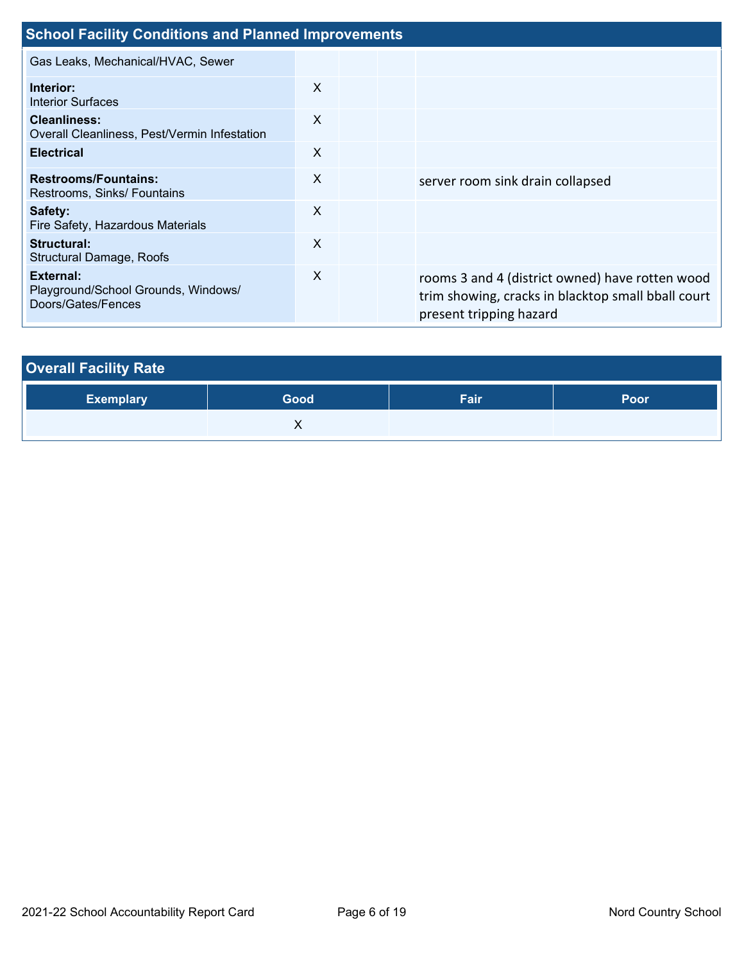| <b>School Facility Conditions and Planned Improvements</b>             |                           |  |  |                                                                                                                                  |  |
|------------------------------------------------------------------------|---------------------------|--|--|----------------------------------------------------------------------------------------------------------------------------------|--|
| Gas Leaks, Mechanical/HVAC, Sewer                                      |                           |  |  |                                                                                                                                  |  |
| Interior:<br><b>Interior Surfaces</b>                                  | $\boldsymbol{\mathsf{X}}$ |  |  |                                                                                                                                  |  |
| <b>Cleanliness:</b><br>Overall Cleanliness, Pest/Vermin Infestation    | X                         |  |  |                                                                                                                                  |  |
| <b>Electrical</b>                                                      | X                         |  |  |                                                                                                                                  |  |
| <b>Restrooms/Fountains:</b><br>Restrooms, Sinks/ Fountains             | X                         |  |  | server room sink drain collapsed                                                                                                 |  |
| Safety:<br>Fire Safety, Hazardous Materials                            | $\boldsymbol{\mathsf{X}}$ |  |  |                                                                                                                                  |  |
| Structural:<br><b>Structural Damage, Roofs</b>                         | $\times$                  |  |  |                                                                                                                                  |  |
| External:<br>Playground/School Grounds, Windows/<br>Doors/Gates/Fences | $\boldsymbol{\mathsf{X}}$ |  |  | rooms 3 and 4 (district owned) have rotten wood<br>trim showing, cracks in blacktop small bball court<br>present tripping hazard |  |

| <b>Overall Facility Rate</b> |      |      |      |  |  |  |
|------------------------------|------|------|------|--|--|--|
| <b>Exemplary</b>             | Good | Fair | Poor |  |  |  |
|                              |      |      |      |  |  |  |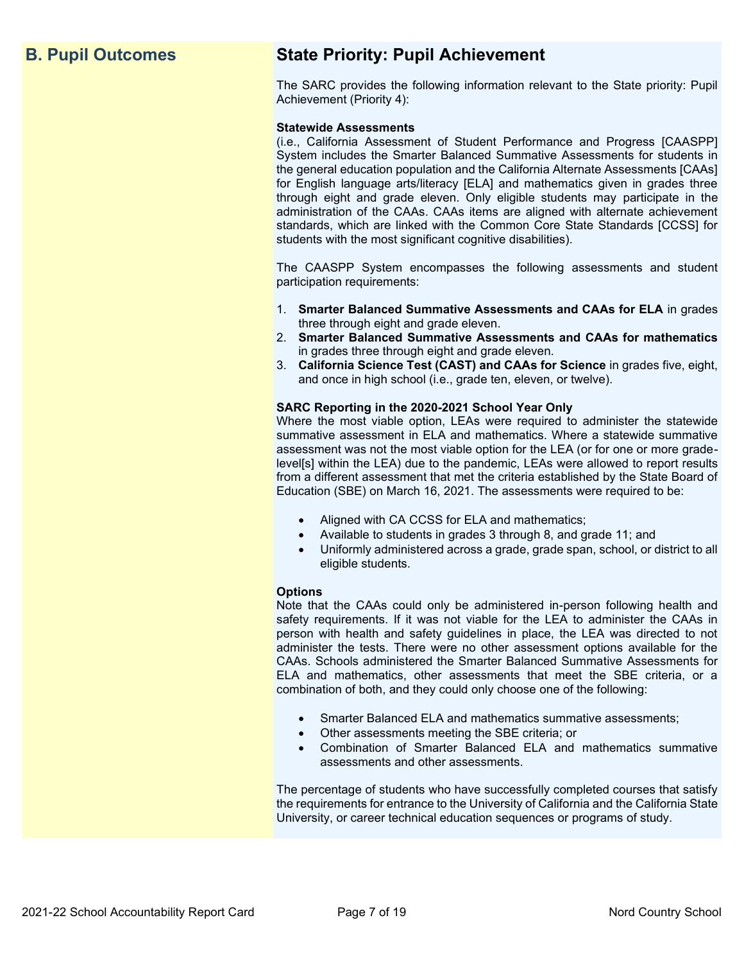## **B. Pupil Outcomes State Priority: Pupil Achievement**

The SARC provides the following information relevant to the State priority: Pupil Achievement (Priority 4):

### **Statewide Assessments**

(i.e., California Assessment of Student Performance and Progress [CAASPP] System includes the Smarter Balanced Summative Assessments for students in the general education population and the California Alternate Assessments [CAAs] for English language arts/literacy [ELA] and mathematics given in grades three through eight and grade eleven. Only eligible students may participate in the administration of the CAAs. CAAs items are aligned with alternate achievement standards, which are linked with the Common Core State Standards [CCSS] for students with the most significant cognitive disabilities).

The CAASPP System encompasses the following assessments and student participation requirements:

- 1. **Smarter Balanced Summative Assessments and CAAs for ELA** in grades three through eight and grade eleven.
- 2. **Smarter Balanced Summative Assessments and CAAs for mathematics** in grades three through eight and grade eleven.
- 3. **California Science Test (CAST) and CAAs for Science** in grades five, eight, and once in high school (i.e., grade ten, eleven, or twelve).

### **SARC Reporting in the 2020-2021 School Year Only**

Where the most viable option, LEAs were required to administer the statewide summative assessment in ELA and mathematics. Where a statewide summative assessment was not the most viable option for the LEA (or for one or more gradelevel[s] within the LEA) due to the pandemic, LEAs were allowed to report results from a different assessment that met the criteria established by the State Board of Education (SBE) on March 16, 2021. The assessments were required to be:

- Aligned with CA CCSS for ELA and mathematics;
- Available to students in grades 3 through 8, and grade 11; and
- Uniformly administered across a grade, grade span, school, or district to all eligible students.

### **Options**

Note that the CAAs could only be administered in-person following health and safety requirements. If it was not viable for the LEA to administer the CAAs in person with health and safety guidelines in place, the LEA was directed to not administer the tests. There were no other assessment options available for the CAAs. Schools administered the Smarter Balanced Summative Assessments for ELA and mathematics, other assessments that meet the SBE criteria, or a combination of both, and they could only choose one of the following:

- Smarter Balanced ELA and mathematics summative assessments;
- Other assessments meeting the SBE criteria; or
- Combination of Smarter Balanced ELA and mathematics summative assessments and other assessments.

The percentage of students who have successfully completed courses that satisfy the requirements for entrance to the University of California and the California State University, or career technical education sequences or programs of study.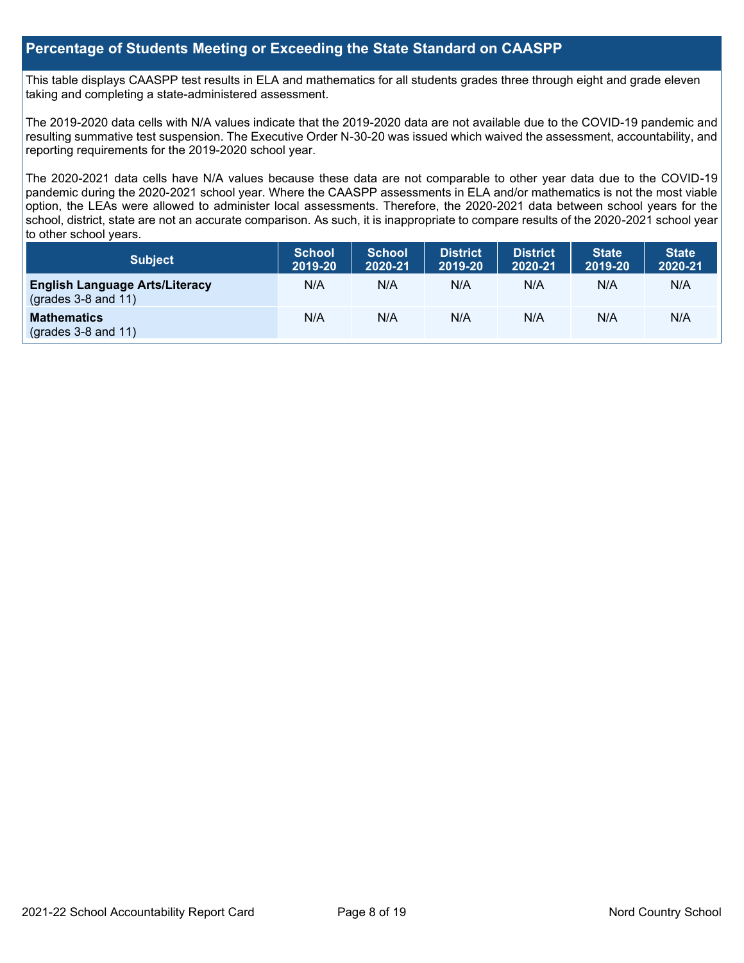### **Percentage of Students Meeting or Exceeding the State Standard on CAASPP**

This table displays CAASPP test results in ELA and mathematics for all students grades three through eight and grade eleven taking and completing a state-administered assessment.

The 2019-2020 data cells with N/A values indicate that the 2019-2020 data are not available due to the COVID-19 pandemic and resulting summative test suspension. The Executive Order N-30-20 was issued which waived the assessment, accountability, and reporting requirements for the 2019-2020 school year.

The 2020-2021 data cells have N/A values because these data are not comparable to other year data due to the COVID-19 pandemic during the 2020-2021 school year. Where the CAASPP assessments in ELA and/or mathematics is not the most viable option, the LEAs were allowed to administer local assessments. Therefore, the 2020-2021 data between school years for the school, district, state are not an accurate comparison. As such, it is inappropriate to compare results of the 2020-2021 school year to other school years.

| Subject                                                              | <b>School</b><br>2019-20 | <b>School</b><br>2020-21 | <b>District</b><br>2019-20 | <b>District</b><br>2020-21 | <b>State</b><br>2019-20 | <b>State</b><br>2020-21 |
|----------------------------------------------------------------------|--------------------------|--------------------------|----------------------------|----------------------------|-------------------------|-------------------------|
| <b>English Language Arts/Literacy</b><br>$\left($ grades 3-8 and 11) | N/A                      | N/A                      | N/A                        | N/A                        | N/A                     | N/A                     |
| <b>Mathematics</b><br>$(grades 3-8 and 11)$                          | N/A                      | N/A                      | N/A                        | N/A                        | N/A                     | N/A                     |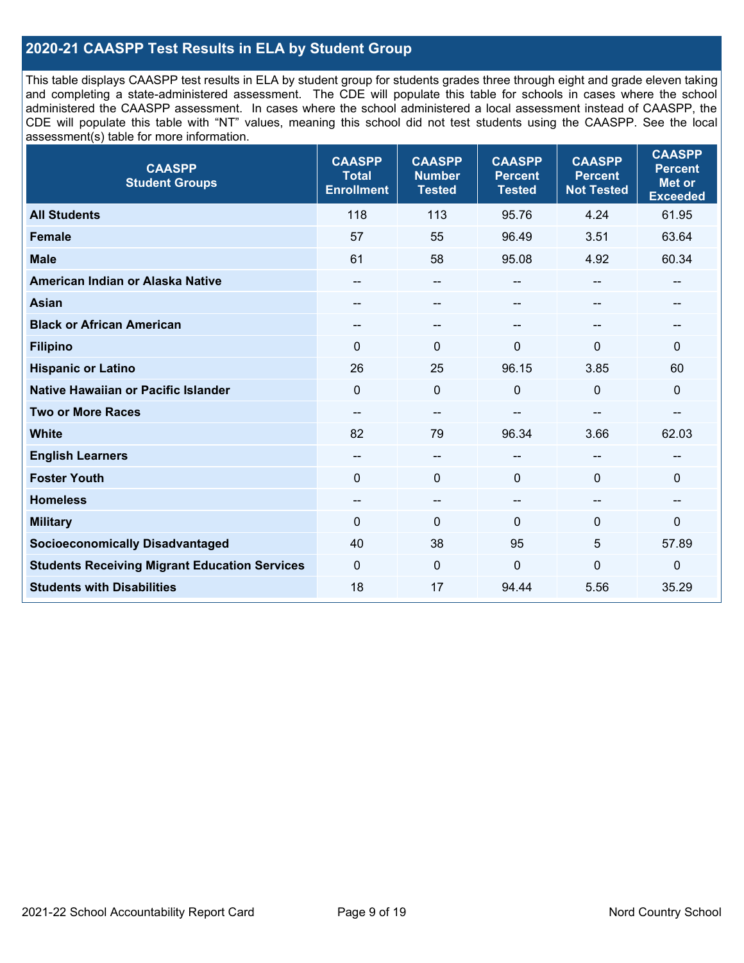### **2020-21 CAASPP Test Results in ELA by Student Group**

This table displays CAASPP test results in ELA by student group for students grades three through eight and grade eleven taking and completing a state-administered assessment. The CDE will populate this table for schools in cases where the school administered the CAASPP assessment. In cases where the school administered a local assessment instead of CAASPP, the CDE will populate this table with "NT" values, meaning this school did not test students using the CAASPP. See the local assessment(s) table for more information.

| <b>CAASPP</b><br><b>Student Groups</b>               | <b>CAASPP</b><br><b>Total</b><br><b>Enrollment</b> | <b>CAASPP</b><br><b>Number</b><br><b>Tested</b> | <b>CAASPP</b><br><b>Percent</b><br><b>Tested</b> | <b>CAASPP</b><br><b>Percent</b><br><b>Not Tested</b> | <b>CAASPP</b><br><b>Percent</b><br><b>Met or</b><br><b>Exceeded</b> |
|------------------------------------------------------|----------------------------------------------------|-------------------------------------------------|--------------------------------------------------|------------------------------------------------------|---------------------------------------------------------------------|
| <b>All Students</b>                                  | 118                                                | 113                                             | 95.76                                            | 4.24                                                 | 61.95                                                               |
| Female                                               | 57                                                 | 55                                              | 96.49                                            | 3.51                                                 | 63.64                                                               |
| <b>Male</b>                                          | 61                                                 | 58                                              | 95.08                                            | 4.92                                                 | 60.34                                                               |
| American Indian or Alaska Native                     | $- -$                                              | $\overline{\phantom{a}}$                        | --                                               | $-$                                                  | --                                                                  |
| <b>Asian</b>                                         |                                                    | --                                              | --                                               |                                                      | --                                                                  |
| <b>Black or African American</b>                     | --                                                 | $\overline{\phantom{m}}$                        | --                                               | --                                                   | --                                                                  |
| <b>Filipino</b>                                      | $\Omega$                                           | $\mathbf{0}$                                    | $\Omega$                                         | $\Omega$                                             | $\mathbf{0}$                                                        |
| <b>Hispanic or Latino</b>                            | 26                                                 | 25                                              | 96.15                                            | 3.85                                                 | 60                                                                  |
| <b>Native Hawaiian or Pacific Islander</b>           | $\Omega$                                           | $\pmb{0}$                                       | 0                                                | $\mathbf{0}$                                         | $\mathbf 0$                                                         |
| <b>Two or More Races</b>                             | $\overline{\phantom{a}}$                           | $\qquad \qquad -$                               |                                                  |                                                      | --                                                                  |
| <b>White</b>                                         | 82                                                 | 79                                              | 96.34                                            | 3.66                                                 | 62.03                                                               |
| <b>English Learners</b>                              | --                                                 | $\overline{\phantom{a}}$                        | --                                               | --                                                   | --                                                                  |
| <b>Foster Youth</b>                                  | $\Omega$                                           | $\mathbf 0$                                     | $\mathbf{0}$                                     | $\mathbf{0}$                                         | $\mathbf 0$                                                         |
| <b>Homeless</b>                                      | --                                                 | $\overline{\phantom{m}}$                        | --                                               | $\sim$                                               | --                                                                  |
| <b>Military</b>                                      | $\Omega$                                           | $\pmb{0}$                                       | $\mathbf{0}$                                     | 0                                                    | 0                                                                   |
| <b>Socioeconomically Disadvantaged</b>               | 40                                                 | 38                                              | 95                                               | 5                                                    | 57.89                                                               |
| <b>Students Receiving Migrant Education Services</b> | 0                                                  | $\mathbf 0$                                     | 0                                                | 0                                                    | $\mathbf 0$                                                         |
| <b>Students with Disabilities</b>                    | 18                                                 | 17                                              | 94.44                                            | 5.56                                                 | 35.29                                                               |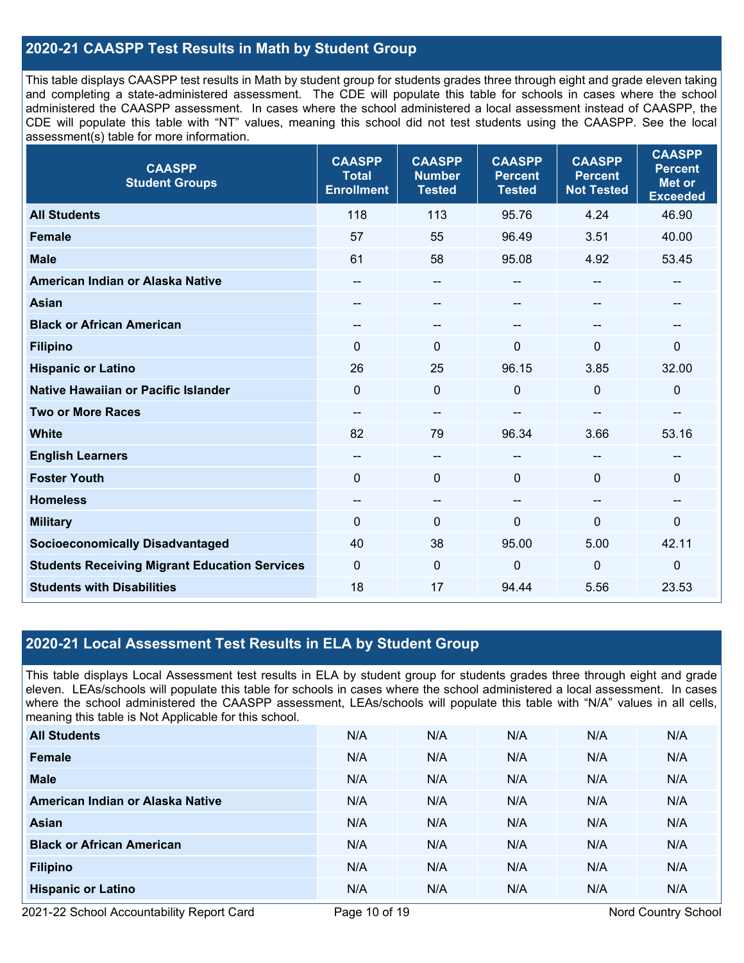### **2020-21 CAASPP Test Results in Math by Student Group**

This table displays CAASPP test results in Math by student group for students grades three through eight and grade eleven taking and completing a state-administered assessment. The CDE will populate this table for schools in cases where the school administered the CAASPP assessment. In cases where the school administered a local assessment instead of CAASPP, the CDE will populate this table with "NT" values, meaning this school did not test students using the CAASPP. See the local assessment(s) table for more information.

| <b>CAASPP</b><br><b>Student Groups</b>               | <b>CAASPP</b><br><b>Total</b><br><b>Enrollment</b> | <b>CAASPP</b><br><b>Number</b><br><b>Tested</b> | <b>CAASPP</b><br><b>Percent</b><br><b>Tested</b> | <b>CAASPP</b><br><b>Percent</b><br><b>Not Tested</b> | <b>CAASPP</b><br><b>Percent</b><br><b>Met or</b><br><b>Exceeded</b> |
|------------------------------------------------------|----------------------------------------------------|-------------------------------------------------|--------------------------------------------------|------------------------------------------------------|---------------------------------------------------------------------|
| <b>All Students</b>                                  | 118                                                | 113                                             | 95.76                                            | 4.24                                                 | 46.90                                                               |
| <b>Female</b>                                        | 57                                                 | 55                                              | 96.49                                            | 3.51                                                 | 40.00                                                               |
| <b>Male</b>                                          | 61                                                 | 58                                              | 95.08                                            | 4.92                                                 | 53.45                                                               |
| American Indian or Alaska Native                     | --                                                 | --                                              | --                                               | $\sim$                                               | --                                                                  |
| <b>Asian</b>                                         | --                                                 | --                                              | --                                               | --                                                   | --                                                                  |
| <b>Black or African American</b>                     | --                                                 | --                                              | --                                               |                                                      | --                                                                  |
| <b>Filipino</b>                                      | $\mathbf{0}$                                       | $\mathbf 0$                                     | 0                                                | $\Omega$                                             | $\mathbf 0$                                                         |
| <b>Hispanic or Latino</b>                            | 26                                                 | 25                                              | 96.15                                            | 3.85                                                 | 32.00                                                               |
| Native Hawaiian or Pacific Islander                  | $\mathbf{0}$                                       | $\mathbf 0$                                     | 0                                                | $\mathbf 0$                                          | $\mathbf 0$                                                         |
| <b>Two or More Races</b>                             | --                                                 | --                                              |                                                  | --                                                   | --                                                                  |
| <b>White</b>                                         | 82                                                 | 79                                              | 96.34                                            | 3.66                                                 | 53.16                                                               |
| <b>English Learners</b>                              | --                                                 | --                                              | --                                               |                                                      | --                                                                  |
| <b>Foster Youth</b>                                  | $\mathbf{0}$                                       | $\mathbf 0$                                     | $\Omega$                                         | $\Omega$                                             | $\mathbf 0$                                                         |
| <b>Homeless</b>                                      | $\qquad \qquad -$                                  | $\overline{\phantom{a}}$                        | $- -$                                            | $\sim$                                               | $\overline{\phantom{a}}$                                            |
| <b>Military</b>                                      | $\mathbf 0$                                        | $\pmb{0}$                                       | 0                                                | $\mathbf 0$                                          | $\pmb{0}$                                                           |
| <b>Socioeconomically Disadvantaged</b>               | 40                                                 | 38                                              | 95.00                                            | 5.00                                                 | 42.11                                                               |
| <b>Students Receiving Migrant Education Services</b> | $\mathbf{0}$                                       | $\mathbf 0$                                     | 0                                                | $\mathbf 0$                                          | $\mathbf 0$                                                         |
| <b>Students with Disabilities</b>                    | 18                                                 | 17                                              | 94.44                                            | 5.56                                                 | 23.53                                                               |

### **2020-21 Local Assessment Test Results in ELA by Student Group**

This table displays Local Assessment test results in ELA by student group for students grades three through eight and grade eleven. LEAs/schools will populate this table for schools in cases where the school administered a local assessment. In cases where the school administered the CAASPP assessment, LEAs/schools will populate this table with "N/A" values in all cells, meaning this table is Not Applicable for this school.

| <b>All Students</b>              | N/A | N/A | N/A | N/A | N/A |
|----------------------------------|-----|-----|-----|-----|-----|
| Female                           | N/A | N/A | N/A | N/A | N/A |
| <b>Male</b>                      | N/A | N/A | N/A | N/A | N/A |
| American Indian or Alaska Native | N/A | N/A | N/A | N/A | N/A |
| Asian                            | N/A | N/A | N/A | N/A | N/A |
| <b>Black or African American</b> | N/A | N/A | N/A | N/A | N/A |
| <b>Filipino</b>                  | N/A | N/A | N/A | N/A | N/A |
| <b>Hispanic or Latino</b>        | N/A | N/A | N/A | N/A | N/A |

2021-22 School Accountability Report Card **Page 10 of 19** Nord Country School Page 10 of 19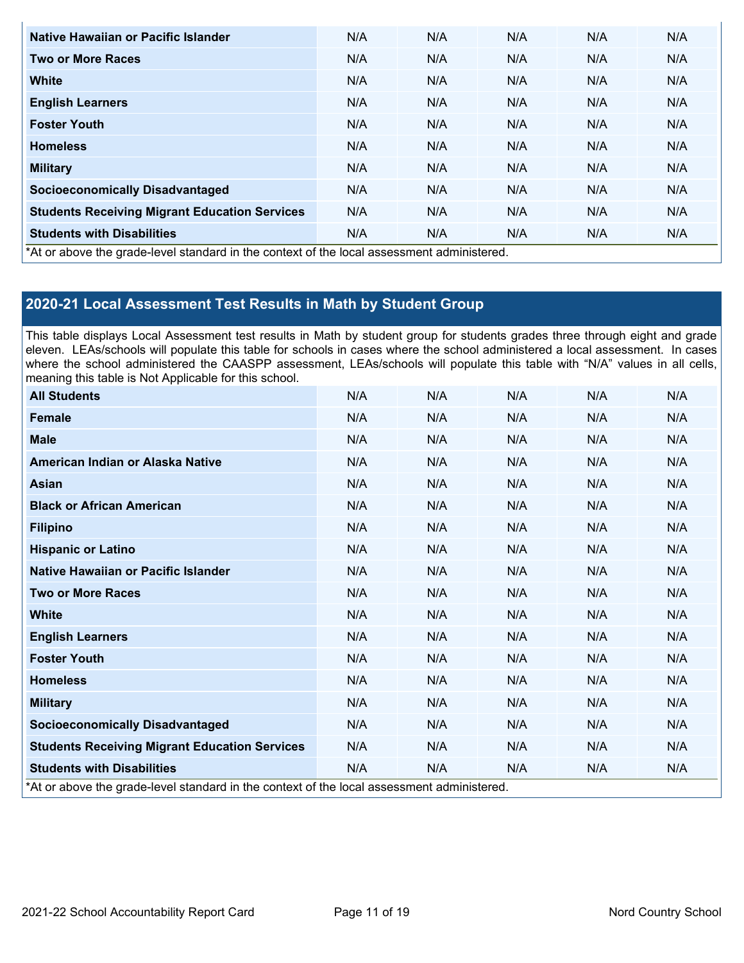| Native Hawaiian or Pacific Islander                                                        | N/A | N/A | N/A | N/A | N/A |
|--------------------------------------------------------------------------------------------|-----|-----|-----|-----|-----|
| <b>Two or More Races</b>                                                                   | N/A | N/A | N/A | N/A | N/A |
| <b>White</b>                                                                               | N/A | N/A | N/A | N/A | N/A |
| <b>English Learners</b>                                                                    | N/A | N/A | N/A | N/A | N/A |
| <b>Foster Youth</b>                                                                        | N/A | N/A | N/A | N/A | N/A |
| <b>Homeless</b>                                                                            | N/A | N/A | N/A | N/A | N/A |
| <b>Military</b>                                                                            | N/A | N/A | N/A | N/A | N/A |
| <b>Socioeconomically Disadvantaged</b>                                                     | N/A | N/A | N/A | N/A | N/A |
| <b>Students Receiving Migrant Education Services</b>                                       | N/A | N/A | N/A | N/A | N/A |
| <b>Students with Disabilities</b>                                                          | N/A | N/A | N/A | N/A | N/A |
| *At or above the grade-level standard in the context of the local assessment administered. |     |     |     |     |     |

### **2020-21 Local Assessment Test Results in Math by Student Group**

This table displays Local Assessment test results in Math by student group for students grades three through eight and grade eleven. LEAs/schools will populate this table for schools in cases where the school administered a local assessment. In cases where the school administered the CAASPP assessment, LEAs/schools will populate this table with "N/A" values in all cells, meaning this table is Not Applicable for this school.

| <b>All Students</b>                                                                        | N/A | N/A | N/A | N/A | N/A |
|--------------------------------------------------------------------------------------------|-----|-----|-----|-----|-----|
| Female                                                                                     | N/A | N/A | N/A | N/A | N/A |
| <b>Male</b>                                                                                | N/A | N/A | N/A | N/A | N/A |
| American Indian or Alaska Native                                                           | N/A | N/A | N/A | N/A | N/A |
| Asian                                                                                      | N/A | N/A | N/A | N/A | N/A |
| <b>Black or African American</b>                                                           | N/A | N/A | N/A | N/A | N/A |
| <b>Filipino</b>                                                                            | N/A | N/A | N/A | N/A | N/A |
| <b>Hispanic or Latino</b>                                                                  | N/A | N/A | N/A | N/A | N/A |
| Native Hawaiian or Pacific Islander                                                        | N/A | N/A | N/A | N/A | N/A |
| <b>Two or More Races</b>                                                                   | N/A | N/A | N/A | N/A | N/A |
| <b>White</b>                                                                               | N/A | N/A | N/A | N/A | N/A |
| <b>English Learners</b>                                                                    | N/A | N/A | N/A | N/A | N/A |
| <b>Foster Youth</b>                                                                        | N/A | N/A | N/A | N/A | N/A |
| <b>Homeless</b>                                                                            | N/A | N/A | N/A | N/A | N/A |
| <b>Military</b>                                                                            | N/A | N/A | N/A | N/A | N/A |
| <b>Socioeconomically Disadvantaged</b>                                                     | N/A | N/A | N/A | N/A | N/A |
| <b>Students Receiving Migrant Education Services</b>                                       | N/A | N/A | N/A | N/A | N/A |
| <b>Students with Disabilities</b>                                                          | N/A | N/A | N/A | N/A | N/A |
| *At or above the grade-level standard in the context of the local assessment administered. |     |     |     |     |     |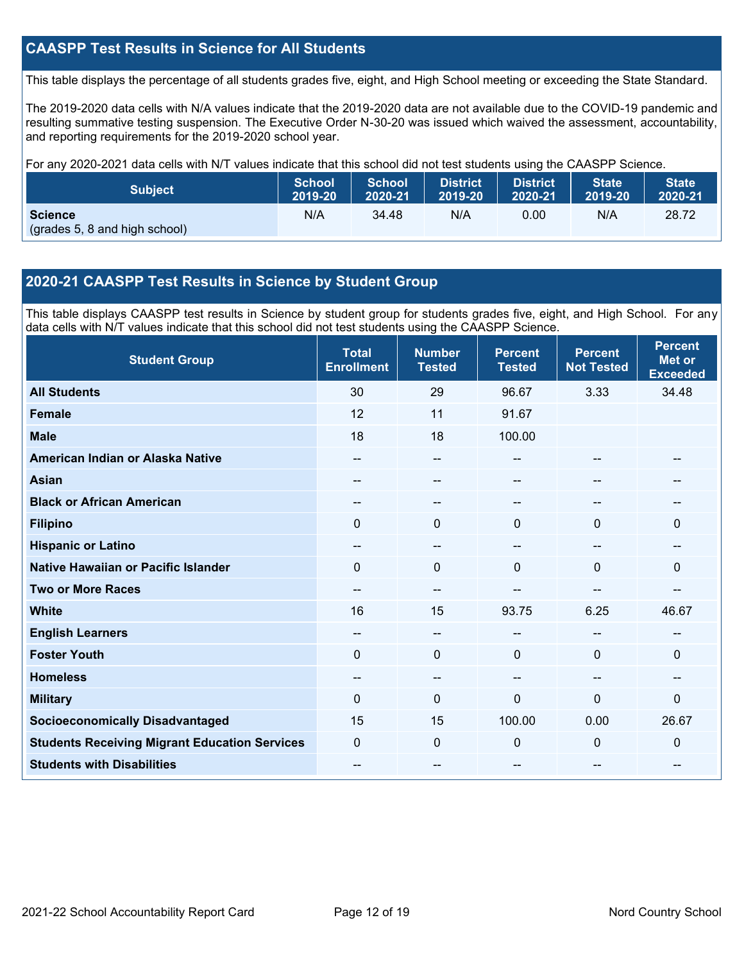### **CAASPP Test Results in Science for All Students**

This table displays the percentage of all students grades five, eight, and High School meeting or exceeding the State Standard.

The 2019-2020 data cells with N/A values indicate that the 2019-2020 data are not available due to the COVID-19 pandemic and resulting summative testing suspension. The Executive Order N-30-20 was issued which waived the assessment, accountability, and reporting requirements for the 2019-2020 school year.

For any 2020-2021 data cells with N/T values indicate that this school did not test students using the CAASPP Science.

| <b>Subject</b>                                  | <b>School</b> | <b>School</b> | <b>District</b> | <b>District</b> | <b>State</b> | <b>State</b> |
|-------------------------------------------------|---------------|---------------|-----------------|-----------------|--------------|--------------|
|                                                 | 2019-20       | 2020-21       | 2019-20         | 2020-21         | 2019-20      | 2020-21      |
| <b>Science</b><br>(grades 5, 8 and high school) | N/A           | 34.48         | N/A             | 0.00            | N/A          | 28.72        |

### **2020-21 CAASPP Test Results in Science by Student Group**

This table displays CAASPP test results in Science by student group for students grades five, eight, and High School. For any data cells with N/T values indicate that this school did not test students using the CAASPP Science.

| <b>Student Group</b>                                 | <b>Total</b><br><b>Enrollment</b> | <b>Number</b><br><b>Tested</b> | <b>Percent</b><br><b>Tested</b> | <b>Percent</b><br><b>Not Tested</b> | <b>Percent</b><br><b>Met or</b><br><b>Exceeded</b> |
|------------------------------------------------------|-----------------------------------|--------------------------------|---------------------------------|-------------------------------------|----------------------------------------------------|
| <b>All Students</b>                                  | 30                                | 29                             | 96.67                           | 3.33                                | 34.48                                              |
| Female                                               | 12                                | 11                             | 91.67                           |                                     |                                                    |
| <b>Male</b>                                          | 18                                | 18                             | 100.00                          |                                     |                                                    |
| American Indian or Alaska Native                     | $-$                               | $\overline{\phantom{m}}$       | $-$                             | --                                  | $- -$                                              |
| <b>Asian</b>                                         | --                                | $- -$                          | --                              | --                                  |                                                    |
| <b>Black or African American</b>                     | --                                | --                             |                                 | --                                  | --                                                 |
| <b>Filipino</b>                                      | $\Omega$                          | $\mathbf 0$                    | 0                               | $\Omega$                            | 0                                                  |
| <b>Hispanic or Latino</b>                            | $\sim$                            | $\qquad \qquad -$              | --                              | --                                  | $\sim$                                             |
| <b>Native Hawaiian or Pacific Islander</b>           | 0                                 | $\mathbf 0$                    | $\Omega$                        | 0                                   | $\Omega$                                           |
| <b>Two or More Races</b>                             | --                                | --                             |                                 | --                                  | --                                                 |
| <b>White</b>                                         | 16                                | 15                             | 93.75                           | 6.25                                | 46.67                                              |
| <b>English Learners</b>                              | $\overline{\phantom{m}}$          | $\overline{\phantom{m}}$       | --                              | --                                  | $\overline{\phantom{m}}$                           |
| <b>Foster Youth</b>                                  | 0                                 | $\mathbf 0$                    | $\mathbf 0$                     | $\Omega$                            | 0                                                  |
| <b>Homeless</b>                                      | --                                | $\overline{\phantom{m}}$       |                                 | --                                  | --                                                 |
| <b>Military</b>                                      | 0                                 | $\mathbf 0$                    | 0                               | $\Omega$                            | 0                                                  |
| <b>Socioeconomically Disadvantaged</b>               | 15                                | 15                             | 100.00                          | 0.00                                | 26.67                                              |
| <b>Students Receiving Migrant Education Services</b> | 0                                 | $\mathbf 0$                    | 0                               | 0                                   | 0                                                  |
| <b>Students with Disabilities</b>                    | --                                | --                             | --                              | --                                  | --                                                 |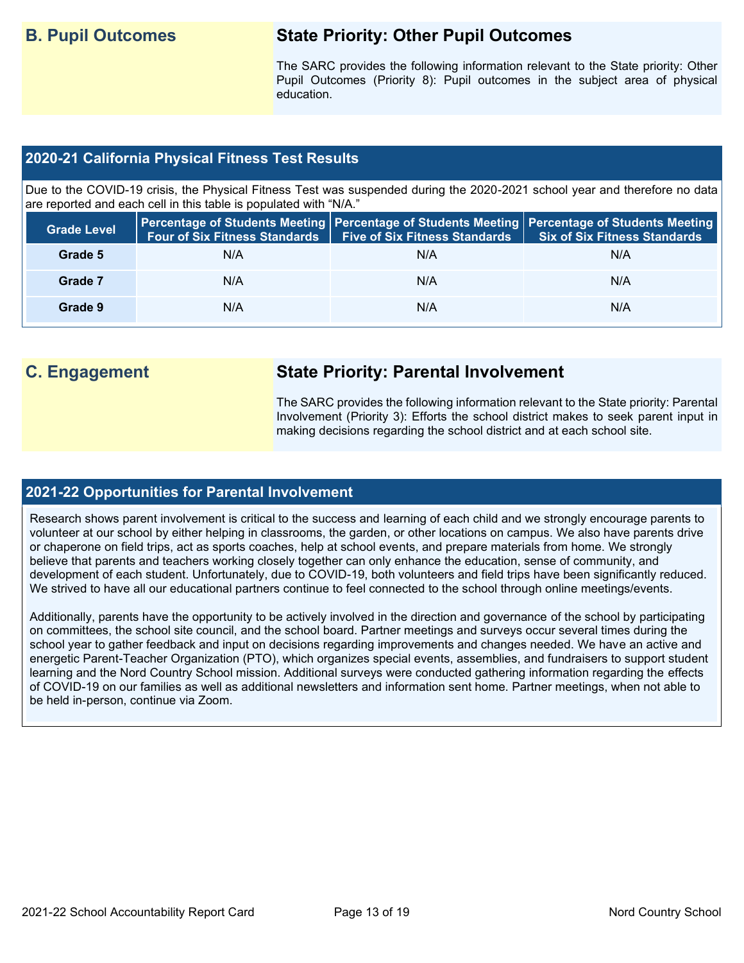## **B. Pupil Outcomes State Priority: Other Pupil Outcomes**

The SARC provides the following information relevant to the State priority: Other Pupil Outcomes (Priority 8): Pupil outcomes in the subject area of physical education.

### **2020-21 California Physical Fitness Test Results**

Due to the COVID-19 crisis, the Physical Fitness Test was suspended during the 2020-2021 school year and therefore no data are reported and each cell in this table is populated with "N/A."

| <b>Grade Level</b> | <b>Four of Six Fitness Standards</b> | <b>Five of Six Fitness Standards</b> | Percentage of Students Meeting   Percentage of Students Meeting   Percentage of Students Meeting  <br><b>Six of Six Fitness Standards</b> |
|--------------------|--------------------------------------|--------------------------------------|-------------------------------------------------------------------------------------------------------------------------------------------|
| Grade 5            | N/A                                  | N/A                                  | N/A                                                                                                                                       |
| Grade 7            | N/A                                  | N/A                                  | N/A                                                                                                                                       |
| Grade 9            | N/A                                  | N/A                                  | N/A                                                                                                                                       |

## **C. Engagement State Priority: Parental Involvement**

The SARC provides the following information relevant to the State priority: Parental Involvement (Priority 3): Efforts the school district makes to seek parent input in making decisions regarding the school district and at each school site.

### **2021-22 Opportunities for Parental Involvement**

Research shows parent involvement is critical to the success and learning of each child and we strongly encourage parents to volunteer at our school by either helping in classrooms, the garden, or other locations on campus. We also have parents drive or chaperone on field trips, act as sports coaches, help at school events, and prepare materials from home. We strongly believe that parents and teachers working closely together can only enhance the education, sense of community, and development of each student. Unfortunately, due to COVID-19, both volunteers and field trips have been significantly reduced. We strived to have all our educational partners continue to feel connected to the school through online meetings/events.

Additionally, parents have the opportunity to be actively involved in the direction and governance of the school by participating on committees, the school site council, and the school board. Partner meetings and surveys occur several times during the school year to gather feedback and input on decisions regarding improvements and changes needed. We have an active and energetic Parent-Teacher Organization (PTO), which organizes special events, assemblies, and fundraisers to support student learning and the Nord Country School mission. Additional surveys were conducted gathering information regarding the effects of COVID-19 on our families as well as additional newsletters and information sent home. Partner meetings, when not able to be held in-person, continue via Zoom.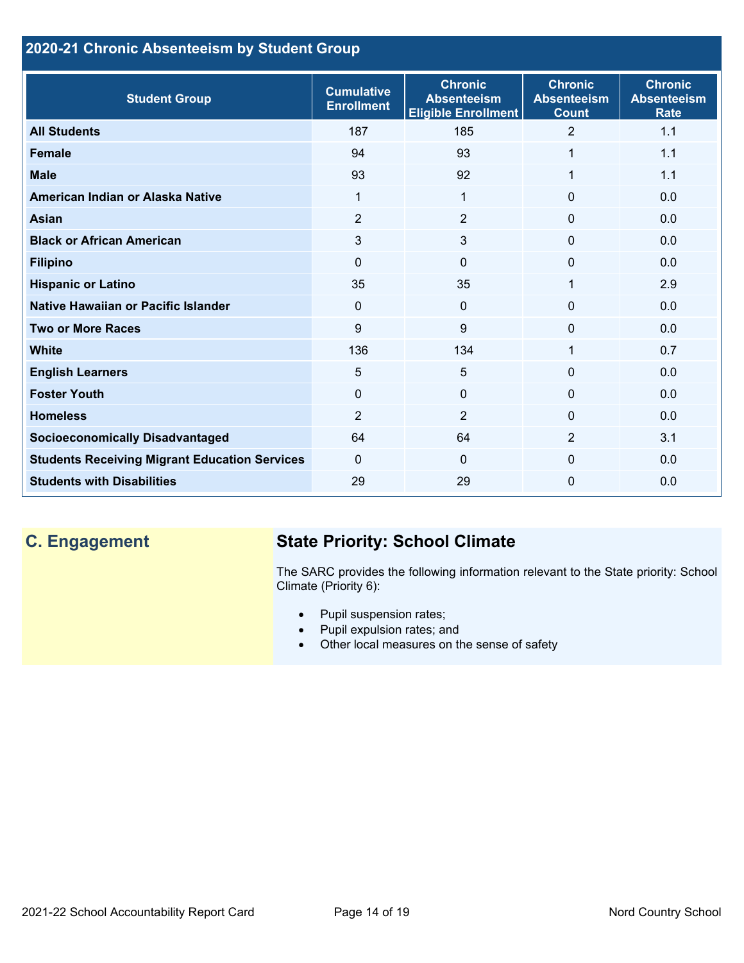### **2020-21 Chronic Absenteeism by Student Group**

| <b>Student Group</b>                                 | <b>Cumulative</b><br><b>Enrollment</b> | <b>Chronic</b><br><b>Absenteeism</b><br><b>Eligible Enrollment</b> | <b>Chronic</b><br><b>Absenteeism</b><br><b>Count</b> | <b>Chronic</b><br><b>Absenteeism</b><br><b>Rate</b> |
|------------------------------------------------------|----------------------------------------|--------------------------------------------------------------------|------------------------------------------------------|-----------------------------------------------------|
| <b>All Students</b>                                  | 187                                    | 185                                                                | $\overline{2}$                                       | 1.1                                                 |
| <b>Female</b>                                        | 94                                     | 93                                                                 | 1                                                    | 1.1                                                 |
| <b>Male</b>                                          | 93                                     | 92                                                                 | 1                                                    | 1.1                                                 |
| American Indian or Alaska Native                     | 1                                      | 1                                                                  | $\mathbf{0}$                                         | 0.0                                                 |
| <b>Asian</b>                                         | 2                                      | $\overline{2}$                                                     | $\mathbf{0}$                                         | 0.0                                                 |
| <b>Black or African American</b>                     | 3                                      | 3                                                                  | $\mathbf 0$                                          | 0.0                                                 |
| <b>Filipino</b>                                      | $\mathbf{0}$                           | 0                                                                  | $\mathbf 0$                                          | 0.0                                                 |
| <b>Hispanic or Latino</b>                            | 35                                     | 35                                                                 | 1                                                    | 2.9                                                 |
| <b>Native Hawaiian or Pacific Islander</b>           | $\mathbf 0$                            | 0                                                                  | $\mathbf 0$                                          | 0.0                                                 |
| <b>Two or More Races</b>                             | 9                                      | 9                                                                  | $\mathbf{0}$                                         | 0.0                                                 |
| <b>White</b>                                         | 136                                    | 134                                                                | 1                                                    | 0.7                                                 |
| <b>English Learners</b>                              | 5                                      | 5                                                                  | $\Omega$                                             | 0.0                                                 |
| <b>Foster Youth</b>                                  | $\Omega$                               | $\Omega$                                                           | $\Omega$                                             | 0.0                                                 |
| <b>Homeless</b>                                      | $\overline{2}$                         | $\overline{2}$                                                     | $\Omega$                                             | 0.0                                                 |
| <b>Socioeconomically Disadvantaged</b>               | 64                                     | 64                                                                 | 2                                                    | 3.1                                                 |
| <b>Students Receiving Migrant Education Services</b> | $\Omega$                               | $\Omega$                                                           | $\Omega$                                             | 0.0                                                 |
| <b>Students with Disabilities</b>                    | 29                                     | 29                                                                 | $\Omega$                                             | 0.0                                                 |

# **C. Engagement State Priority: School Climate**

The SARC provides the following information relevant to the State priority: School Climate (Priority 6):

- Pupil suspension rates;
- Pupil expulsion rates; and
- Other local measures on the sense of safety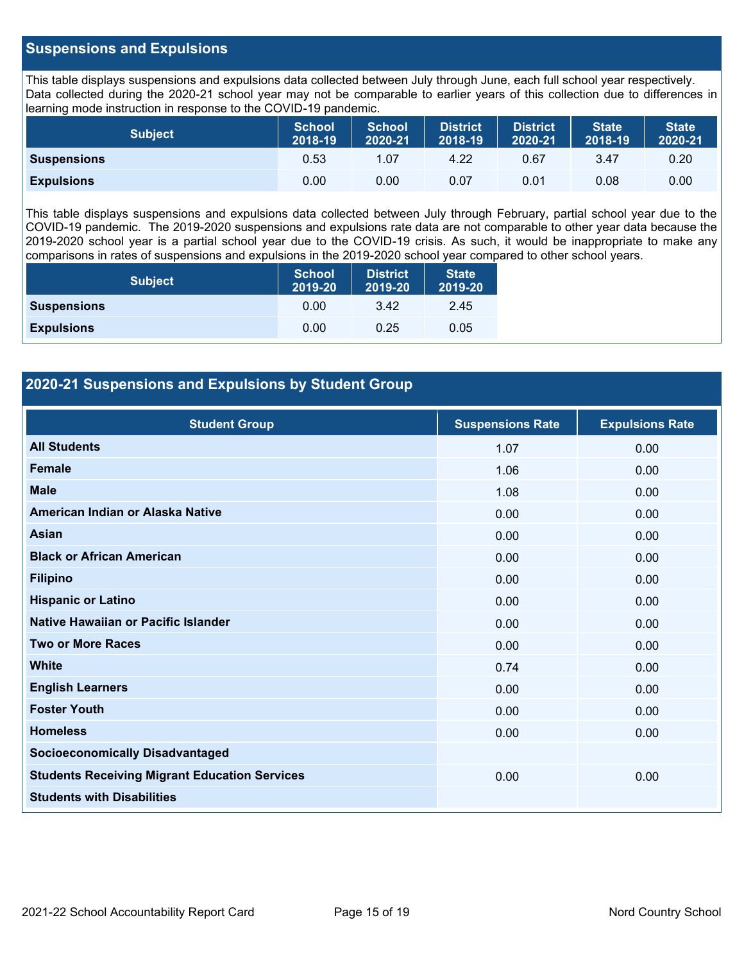### **Suspensions and Expulsions**

This table displays suspensions and expulsions data collected between July through June, each full school year respectively. Data collected during the 2020-21 school year may not be comparable to earlier years of this collection due to differences in learning mode instruction in response to the COVID-19 pandemic.

| <b>Subject</b>     | <b>School</b><br>2018-19 | <b>School</b><br>2020-21 | <b>District</b><br>2018-19 | <b>District</b><br>2020-21 | <b>State</b><br>2018-19 | <b>State</b><br>2020-21 |
|--------------------|--------------------------|--------------------------|----------------------------|----------------------------|-------------------------|-------------------------|
| <b>Suspensions</b> | 0.53                     | 1.07                     | 4.22                       | 0.67                       | 3.47                    | 0.20                    |
| <b>Expulsions</b>  | 0.00                     | 0.00                     | 0.07                       | 0.01                       | 0.08                    | 0.00                    |

This table displays suspensions and expulsions data collected between July through February, partial school year due to the COVID-19 pandemic. The 2019-2020 suspensions and expulsions rate data are not comparable to other year data because the 2019-2020 school year is a partial school year due to the COVID-19 crisis. As such, it would be inappropriate to make any comparisons in rates of suspensions and expulsions in the 2019-2020 school year compared to other school years.

| <b>Subject</b>     | <b>School</b><br>2019-20 | <b>District</b><br>2019-20 | <b>State</b><br>2019-20 |
|--------------------|--------------------------|----------------------------|-------------------------|
| <b>Suspensions</b> | 0.00                     | 3.42                       | 2.45                    |
| <b>Expulsions</b>  | 0.00                     | 0.25                       | 0.05                    |

### **2020-21 Suspensions and Expulsions by Student Group**

| <b>Student Group</b>                                 | <b>Suspensions Rate</b> | <b>Expulsions Rate</b> |
|------------------------------------------------------|-------------------------|------------------------|
| <b>All Students</b>                                  | 1.07                    | 0.00                   |
| <b>Female</b>                                        | 1.06                    | 0.00                   |
| <b>Male</b>                                          | 1.08                    | 0.00                   |
| American Indian or Alaska Native                     | 0.00                    | 0.00                   |
| <b>Asian</b>                                         | 0.00                    | 0.00                   |
| <b>Black or African American</b>                     | 0.00                    | 0.00                   |
| <b>Filipino</b>                                      | 0.00                    | 0.00                   |
| <b>Hispanic or Latino</b>                            | 0.00                    | 0.00                   |
| Native Hawaiian or Pacific Islander                  | 0.00                    | 0.00                   |
| <b>Two or More Races</b>                             | 0.00                    | 0.00                   |
| <b>White</b>                                         | 0.74                    | 0.00                   |
| <b>English Learners</b>                              | 0.00                    | 0.00                   |
| <b>Foster Youth</b>                                  | 0.00                    | 0.00                   |
| <b>Homeless</b>                                      | 0.00                    | 0.00                   |
| <b>Socioeconomically Disadvantaged</b>               |                         |                        |
| <b>Students Receiving Migrant Education Services</b> | 0.00                    | 0.00                   |
| <b>Students with Disabilities</b>                    |                         |                        |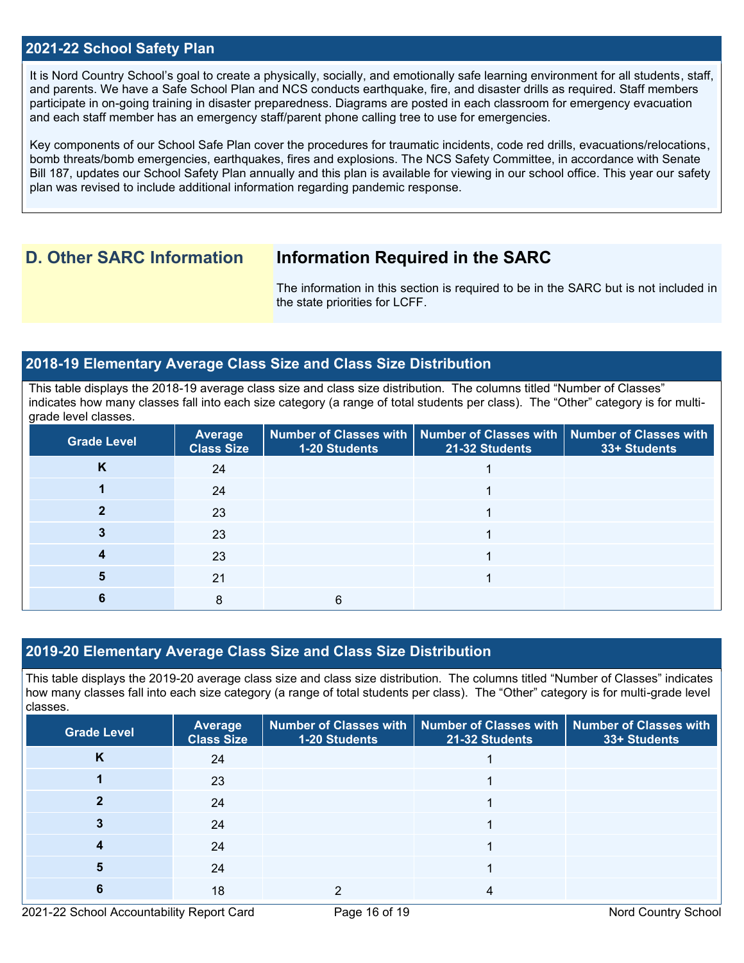### **2021-22 School Safety Plan**

It is Nord Country School's goal to create a physically, socially, and emotionally safe learning environment for all students, staff, and parents. We have a Safe School Plan and NCS conducts earthquake, fire, and disaster drills as required. Staff members participate in on-going training in disaster preparedness. Diagrams are posted in each classroom for emergency evacuation and each staff member has an emergency staff/parent phone calling tree to use for emergencies.

Key components of our School Safe Plan cover the procedures for traumatic incidents, code red drills, evacuations/relocations, bomb threats/bomb emergencies, earthquakes, fires and explosions. The NCS Safety Committee, in accordance with Senate Bill 187, updates our School Safety Plan annually and this plan is available for viewing in our school office. This year our safety plan was revised to include additional information regarding pandemic response.

### **D. Other SARC Information Information Required in the SARC**

The information in this section is required to be in the SARC but is not included in the state priorities for LCFF.

### **2018-19 Elementary Average Class Size and Class Size Distribution**

This table displays the 2018-19 average class size and class size distribution. The columns titled "Number of Classes" indicates how many classes fall into each size category (a range of total students per class). The "Other" category is for multigrade level classes.

| <b>Grade Level</b> | <b>Average</b><br><b>Class Size</b> | <b>1-20 Students</b> | $\mid$ Number of Classes with $\mid$ Number of Classes with $\mid$ Number of Classes with<br>21-32 Students | 33+ Students |
|--------------------|-------------------------------------|----------------------|-------------------------------------------------------------------------------------------------------------|--------------|
| K                  | 24                                  |                      |                                                                                                             |              |
|                    | 24                                  |                      |                                                                                                             |              |
|                    | 23                                  |                      |                                                                                                             |              |
|                    | 23                                  |                      |                                                                                                             |              |
|                    | 23                                  |                      |                                                                                                             |              |
|                    | 21                                  |                      |                                                                                                             |              |
|                    | 8                                   | 6                    |                                                                                                             |              |

### **2019-20 Elementary Average Class Size and Class Size Distribution**

This table displays the 2019-20 average class size and class size distribution. The columns titled "Number of Classes" indicates how many classes fall into each size category (a range of total students per class). The "Other" category is for multi-grade level classes.

| <b>Grade Level</b> | <b>Average</b><br><b>Class Size</b> | 1-20 Students | Number of Classes with   Number of Classes with  <br>21-32 Students | <b>Number of Classes with</b><br>33+ Students |
|--------------------|-------------------------------------|---------------|---------------------------------------------------------------------|-----------------------------------------------|
| N                  | 24                                  |               |                                                                     |                                               |
|                    | 23                                  |               |                                                                     |                                               |
|                    | 24                                  |               |                                                                     |                                               |
|                    | 24                                  |               |                                                                     |                                               |
|                    | 24                                  |               |                                                                     |                                               |
|                    | 24                                  |               |                                                                     |                                               |
|                    | 18                                  |               |                                                                     |                                               |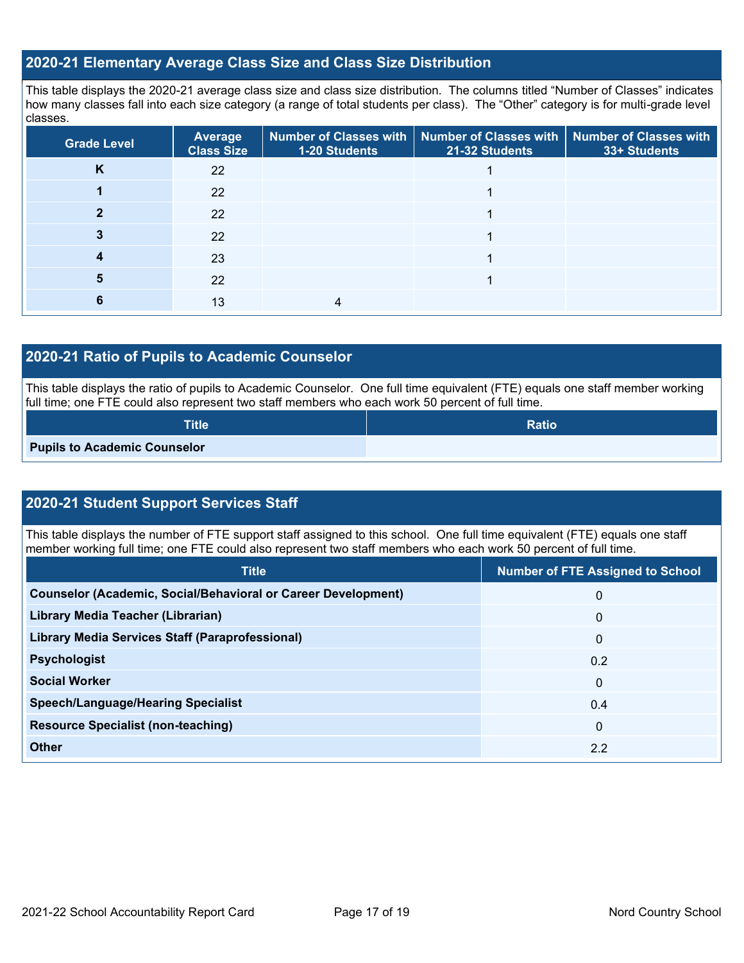### **2020-21 Elementary Average Class Size and Class Size Distribution**

This table displays the 2020-21 average class size and class size distribution. The columns titled "Number of Classes" indicates how many classes fall into each size category (a range of total students per class). The "Other" category is for multi-grade level classes.

| Grade Level | <b>Average</b><br><b>Class Size</b> | 1-20 Students | Number of Classes with   Number of Classes with   Number of Classes with<br>21-32 Students | 33+ Students |
|-------------|-------------------------------------|---------------|--------------------------------------------------------------------------------------------|--------------|
| K           | 22                                  |               |                                                                                            |              |
|             | 22                                  |               |                                                                                            |              |
|             | 22                                  |               |                                                                                            |              |
|             | 22                                  |               |                                                                                            |              |
|             | 23                                  |               |                                                                                            |              |
| 5           | 22                                  |               |                                                                                            |              |
| 6           | 13                                  |               |                                                                                            |              |

### **2020-21 Ratio of Pupils to Academic Counselor**

This table displays the ratio of pupils to Academic Counselor. One full time equivalent (FTE) equals one staff member working full time; one FTE could also represent two staff members who each work 50 percent of full time.

| <b>Title</b>                        | <b>Ratio</b> |
|-------------------------------------|--------------|
| <b>Pupils to Academic Counselor</b> |              |

### **2020-21 Student Support Services Staff**

This table displays the number of FTE support staff assigned to this school. One full time equivalent (FTE) equals one staff member working full time; one FTE could also represent two staff members who each work 50 percent of full time.

| <b>Title</b>                                                         | <b>Number of FTE Assigned to School</b> |
|----------------------------------------------------------------------|-----------------------------------------|
| <b>Counselor (Academic, Social/Behavioral or Career Development)</b> | 0                                       |
| Library Media Teacher (Librarian)                                    | 0                                       |
| Library Media Services Staff (Paraprofessional)                      | $\mathbf 0$                             |
| <b>Psychologist</b>                                                  | 0.2                                     |
| <b>Social Worker</b>                                                 | $\mathbf{0}$                            |
| <b>Speech/Language/Hearing Specialist</b>                            | 0.4                                     |
| <b>Resource Specialist (non-teaching)</b>                            | $\mathbf{0}$                            |
| <b>Other</b>                                                         | 2.2                                     |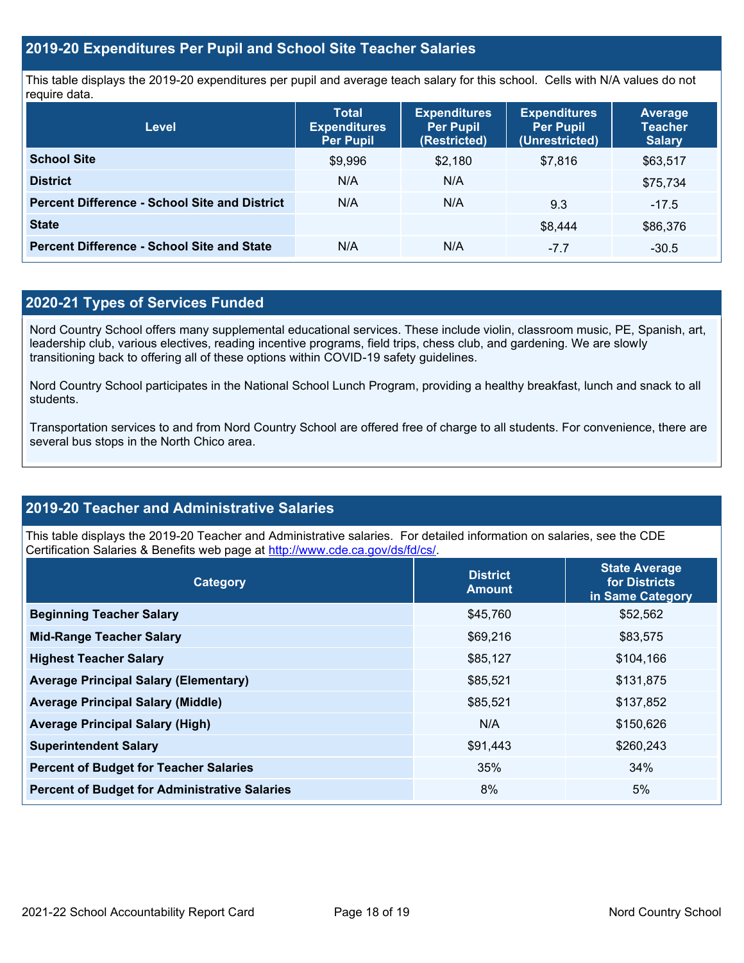### **2019-20 Expenditures Per Pupil and School Site Teacher Salaries**

This table displays the 2019-20 expenditures per pupil and average teach salary for this school. Cells with N/A values do not require data.

| Level                                                | <b>Total</b><br><b>Expenditures</b><br><b>Per Pupil</b> | <b>Expenditures</b><br><b>Per Pupil</b><br>(Restricted) | <b>Expenditures</b><br><b>Per Pupil</b><br>(Unrestricted) | <b>Average</b><br><b>Teacher</b><br><b>Salary</b> |
|------------------------------------------------------|---------------------------------------------------------|---------------------------------------------------------|-----------------------------------------------------------|---------------------------------------------------|
| <b>School Site</b>                                   | \$9,996                                                 | \$2,180                                                 | \$7.816                                                   | \$63,517                                          |
| <b>District</b>                                      | N/A                                                     | N/A                                                     |                                                           | \$75,734                                          |
| <b>Percent Difference - School Site and District</b> | N/A                                                     | N/A                                                     | 9.3                                                       | $-17.5$                                           |
| <b>State</b>                                         |                                                         |                                                         | \$8.444                                                   | \$86,376                                          |
| <b>Percent Difference - School Site and State</b>    | N/A                                                     | N/A                                                     | $-7.7$                                                    | $-30.5$                                           |

### **2020-21 Types of Services Funded**

Nord Country School offers many supplemental educational services. These include violin, classroom music, PE, Spanish, art, leadership club, various electives, reading incentive programs, field trips, chess club, and gardening. We are slowly transitioning back to offering all of these options within COVID-19 safety guidelines.

Nord Country School participates in the National School Lunch Program, providing a healthy breakfast, lunch and snack to all students.

Transportation services to and from Nord Country School are offered free of charge to all students. For convenience, there are several bus stops in the North Chico area.

### **2019-20 Teacher and Administrative Salaries**

This table displays the 2019-20 Teacher and Administrative salaries. For detailed information on salaries, see the CDE Certification Salaries & Benefits web page at [http://www.cde.ca.gov/ds/fd/cs/.](http://www.cde.ca.gov/ds/fd/cs/)

| Category                                             | <b>District</b><br><b>Amount</b> | <b>State Average</b><br>for Districts<br>in Same Category |
|------------------------------------------------------|----------------------------------|-----------------------------------------------------------|
| <b>Beginning Teacher Salary</b>                      | \$45,760                         | \$52,562                                                  |
| <b>Mid-Range Teacher Salary</b>                      | \$69,216                         | \$83,575                                                  |
| <b>Highest Teacher Salary</b>                        | \$85,127                         | \$104,166                                                 |
| <b>Average Principal Salary (Elementary)</b>         | \$85,521                         | \$131,875                                                 |
| <b>Average Principal Salary (Middle)</b>             | \$85,521                         | \$137,852                                                 |
| <b>Average Principal Salary (High)</b>               | N/A                              | \$150,626                                                 |
| <b>Superintendent Salary</b>                         | \$91,443                         | \$260,243                                                 |
| <b>Percent of Budget for Teacher Salaries</b>        | 35%                              | 34%                                                       |
| <b>Percent of Budget for Administrative Salaries</b> | 8%                               | 5%                                                        |